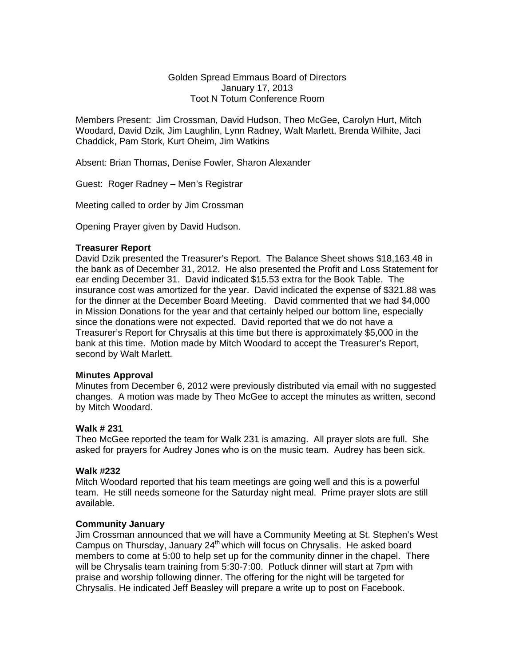# Golden Spread Emmaus Board of Directors January 17, 2013 Toot N Totum Conference Room

Members Present: Jim Crossman, David Hudson, Theo McGee, Carolyn Hurt, Mitch Woodard, David Dzik, Jim Laughlin, Lynn Radney, Walt Marlett, Brenda Wilhite, Jaci Chaddick, Pam Stork, Kurt Oheim, Jim Watkins

Absent: Brian Thomas, Denise Fowler, Sharon Alexander

Guest: Roger Radney – Men's Registrar

Meeting called to order by Jim Crossman

Opening Prayer given by David Hudson.

# **Treasurer Report**

David Dzik presented the Treasurer's Report. The Balance Sheet shows \$18,163.48 in the bank as of December 31, 2012. He also presented the Profit and Loss Statement for ear ending December 31. David indicated \$15.53 extra for the Book Table. The insurance cost was amortized for the year. David indicated the expense of \$321.88 was for the dinner at the December Board Meeting. David commented that we had \$4,000 in Mission Donations for the year and that certainly helped our bottom line, especially since the donations were not expected. David reported that we do not have a Treasurer's Report for Chrysalis at this time but there is approximately \$5,000 in the bank at this time. Motion made by Mitch Woodard to accept the Treasurer's Report, second by Walt Marlett.

## **Minutes Approval**

Minutes from December 6, 2012 were previously distributed via email with no suggested changes. A motion was made by Theo McGee to accept the minutes as written, second by Mitch Woodard.

## **Walk # 231**

Theo McGee reported the team for Walk 231 is amazing. All prayer slots are full. She asked for prayers for Audrey Jones who is on the music team. Audrey has been sick.

# **Walk #232**

Mitch Woodard reported that his team meetings are going well and this is a powerful team. He still needs someone for the Saturday night meal. Prime prayer slots are still available.

## **Community January**

Jim Crossman announced that we will have a Community Meeting at St. Stephen's West Campus on Thursday, January  $24<sup>th</sup>$  which will focus on Chrysalis. He asked board members to come at 5:00 to help set up for the community dinner in the chapel. There will be Chrysalis team training from 5:30-7:00. Potluck dinner will start at 7pm with praise and worship following dinner. The offering for the night will be targeted for Chrysalis. He indicated Jeff Beasley will prepare a write up to post on Facebook.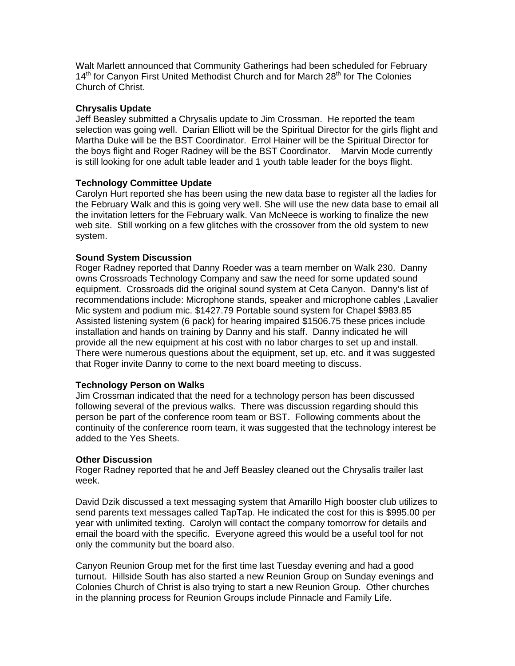Walt Marlett announced that Community Gatherings had been scheduled for February 14<sup>th</sup> for Canyon First United Methodist Church and for March 28<sup>th</sup> for The Colonies Church of Christ.

## **Chrysalis Update**

Jeff Beasley submitted a Chrysalis update to Jim Crossman. He reported the team selection was going well. Darian Elliott will be the Spiritual Director for the girls flight and Martha Duke will be the BST Coordinator. Errol Hainer will be the Spiritual Director for the boys flight and Roger Radney will be the BST Coordinator. Marvin Mode currently is still looking for one adult table leader and 1 youth table leader for the boys flight.

# **Technology Committee Update**

Carolyn Hurt reported she has been using the new data base to register all the ladies for the February Walk and this is going very well. She will use the new data base to email all the invitation letters for the February walk. Van McNeece is working to finalize the new web site. Still working on a few glitches with the crossover from the old system to new system.

# **Sound System Discussion**

Roger Radney reported that Danny Roeder was a team member on Walk 230. Danny owns Crossroads Technology Company and saw the need for some updated sound equipment. Crossroads did the original sound system at Ceta Canyon. Danny's list of recommendations include: Microphone stands, speaker and microphone cables ,Lavalier Mic system and podium mic. \$1427.79 Portable sound system for Chapel \$983.85 Assisted listening system (6 pack) for hearing impaired \$1506.75 these prices include installation and hands on training by Danny and his staff. Danny indicated he will provide all the new equipment at his cost with no labor charges to set up and install. There were numerous questions about the equipment, set up, etc. and it was suggested that Roger invite Danny to come to the next board meeting to discuss.

## **Technology Person on Walks**

Jim Crossman indicated that the need for a technology person has been discussed following several of the previous walks. There was discussion regarding should this person be part of the conference room team or BST. Following comments about the continuity of the conference room team, it was suggested that the technology interest be added to the Yes Sheets.

## **Other Discussion**

Roger Radney reported that he and Jeff Beasley cleaned out the Chrysalis trailer last week.

David Dzik discussed a text messaging system that Amarillo High booster club utilizes to send parents text messages called TapTap. He indicated the cost for this is \$995.00 per year with unlimited texting. Carolyn will contact the company tomorrow for details and email the board with the specific. Everyone agreed this would be a useful tool for not only the community but the board also.

Canyon Reunion Group met for the first time last Tuesday evening and had a good turnout. Hillside South has also started a new Reunion Group on Sunday evenings and Colonies Church of Christ is also trying to start a new Reunion Group. Other churches in the planning process for Reunion Groups include Pinnacle and Family Life.